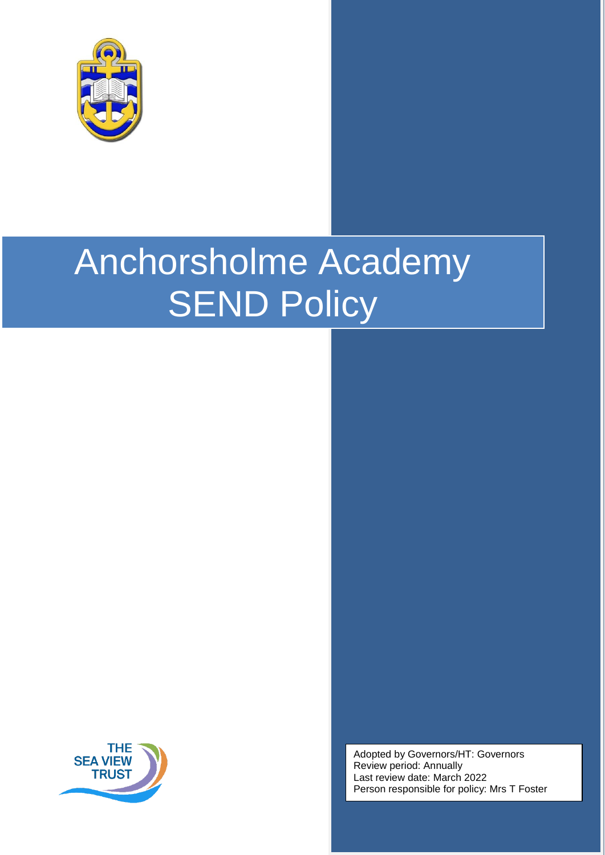



Adopted by Governors/HT: Governors Review period: Annually Last review date: March 2022 Person responsible for policy: Mrs T Foster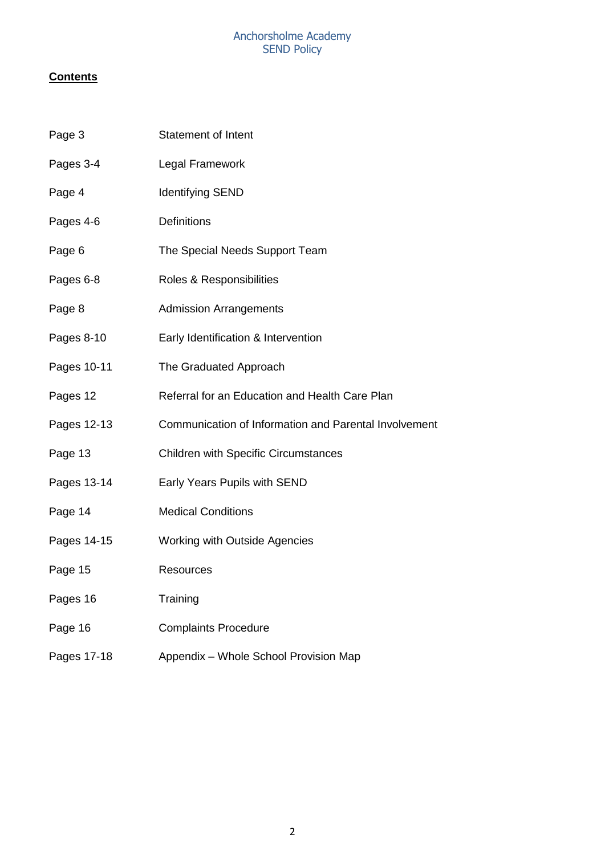# **Contents**

| Page 3      | <b>Statement of Intent</b>                            |
|-------------|-------------------------------------------------------|
| Pages 3-4   | Legal Framework                                       |
| Page 4      | <b>Identifying SEND</b>                               |
| Pages 4-6   | Definitions                                           |
| Page 6      | The Special Needs Support Team                        |
| Pages 6-8   | Roles & Responsibilities                              |
| Page 8      | <b>Admission Arrangements</b>                         |
| Pages 8-10  | Early Identification & Intervention                   |
| Pages 10-11 | The Graduated Approach                                |
| Pages 12    | Referral for an Education and Health Care Plan        |
| Pages 12-13 | Communication of Information and Parental Involvement |
| Page 13     | <b>Children with Specific Circumstances</b>           |
| Pages 13-14 | Early Years Pupils with SEND                          |
| Page 14     | <b>Medical Conditions</b>                             |
| Pages 14-15 | Working with Outside Agencies                         |
| Page 15     | <b>Resources</b>                                      |
| Pages 16    | Training                                              |
| Page 16     | <b>Complaints Procedure</b>                           |
| Pages 17-18 | Appendix - Whole School Provision Map                 |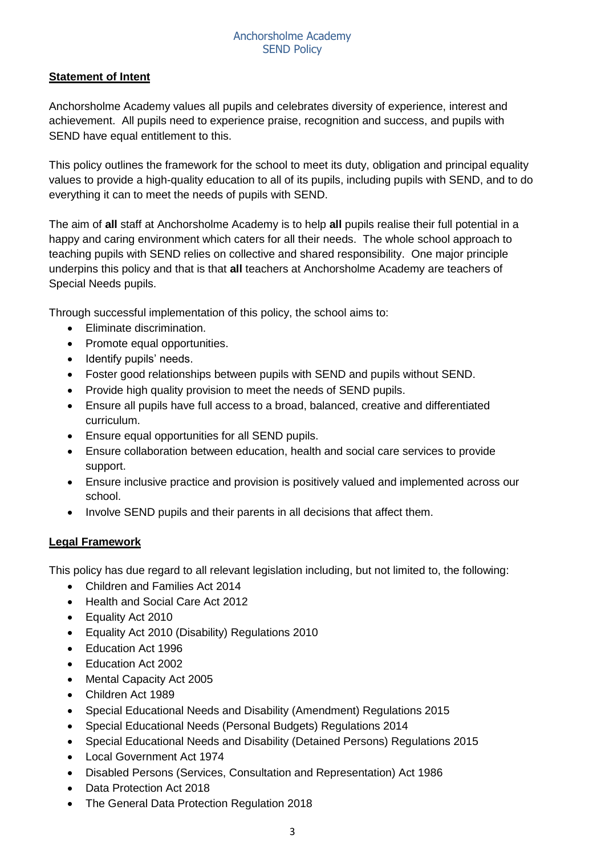## **Statement of Intent**

Anchorsholme Academy values all pupils and celebrates diversity of experience, interest and achievement. All pupils need to experience praise, recognition and success, and pupils with SEND have equal entitlement to this.

This policy outlines the framework for the school to meet its duty, obligation and principal equality values to provide a high-quality education to all of its pupils, including pupils with SEND, and to do everything it can to meet the needs of pupils with SEND.

The aim of **all** staff at Anchorsholme Academy is to help **all** pupils realise their full potential in a happy and caring environment which caters for all their needs. The whole school approach to teaching pupils with SEND relies on collective and shared responsibility. One major principle underpins this policy and that is that **all** teachers at Anchorsholme Academy are teachers of Special Needs pupils.

Through successful implementation of this policy, the school aims to:

- Eliminate discrimination.
- Promote equal opportunities.
- Identify pupils' needs.
- Foster good relationships between pupils with SEND and pupils without SEND.
- Provide high quality provision to meet the needs of SEND pupils.
- Ensure all pupils have full access to a broad, balanced, creative and differentiated curriculum.
- Ensure equal opportunities for all SEND pupils.
- Ensure collaboration between education, health and social care services to provide support.
- Ensure inclusive practice and provision is positively valued and implemented across our school.
- Involve SEND pupils and their parents in all decisions that affect them.

## **Legal Framework**

This policy has due regard to all relevant legislation including, but not limited to, the following:

- Children and Families Act 2014
- Health and Social Care Act 2012
- Equality Act 2010
- Equality Act 2010 (Disability) Regulations 2010
- Education Act 1996
- Education Act 2002
- Mental Capacity Act 2005
- Children Act 1989
- Special Educational Needs and Disability (Amendment) Regulations 2015
- Special Educational Needs (Personal Budgets) Regulations 2014
- Special Educational Needs and Disability (Detained Persons) Regulations 2015
- Local Government Act 1974
- Disabled Persons (Services, Consultation and Representation) Act 1986
- Data Protection Act 2018
- The General Data Protection Regulation 2018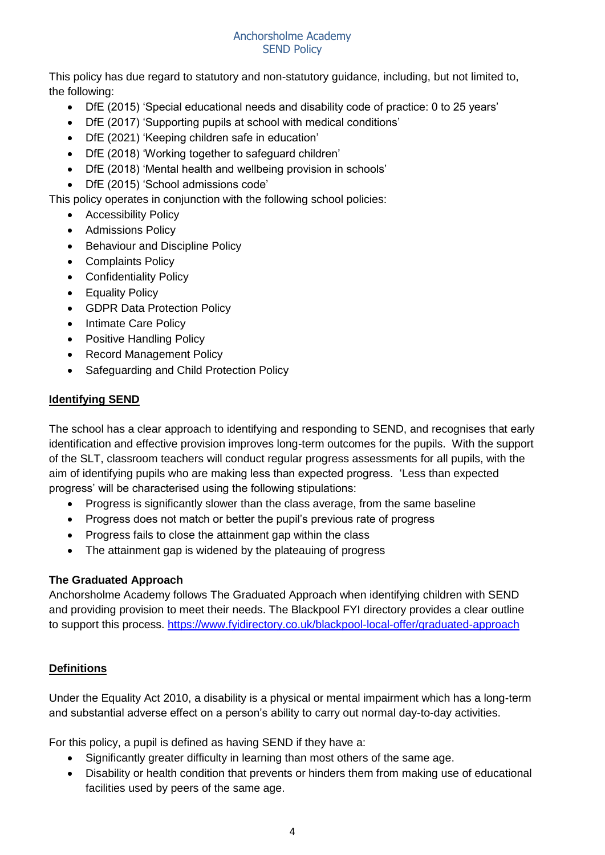This policy has due regard to statutory and non-statutory guidance, including, but not limited to, the following:

- DfE (2015) 'Special educational needs and disability code of practice: 0 to 25 years'
- DfE (2017) 'Supporting pupils at school with medical conditions'
- DfE (2021) 'Keeping children safe in education'
- DfE (2018) 'Working together to safeguard children'
- DfE (2018) 'Mental health and wellbeing provision in schools'
- DfE (2015) 'School admissions code'

This policy operates in conjunction with the following school policies:

- Accessibility Policy
- Admissions Policy
- Behaviour and Discipline Policy
- Complaints Policy
- Confidentiality Policy
- Equality Policy
- GDPR Data Protection Policy
- Intimate Care Policy
- Positive Handling Policy
- Record Management Policy
- Safeguarding and Child Protection Policy

## **Identifying SEND**

The school has a clear approach to identifying and responding to SEND, and recognises that early identification and effective provision improves long-term outcomes for the pupils. With the support of the SLT, classroom teachers will conduct regular progress assessments for all pupils, with the aim of identifying pupils who are making less than expected progress. 'Less than expected progress' will be characterised using the following stipulations:

- Progress is significantly slower than the class average, from the same baseline
- Progress does not match or better the pupil's previous rate of progress
- Progress fails to close the attainment gap within the class
- The attainment gap is widened by the plateauing of progress

## **The Graduated Approach**

Anchorsholme Academy follows The Graduated Approach when identifying children with SEND and providing provision to meet their needs. The Blackpool FYI directory provides a clear outline to support this process.<https://www.fyidirectory.co.uk/blackpool-local-offer/graduated-approach>

## **Definitions**

Under the Equality Act 2010, a disability is a physical or mental impairment which has a long-term and substantial adverse effect on a person's ability to carry out normal day-to-day activities.

For this policy, a pupil is defined as having SEND if they have a:

- Significantly greater difficulty in learning than most others of the same age.
- Disability or health condition that prevents or hinders them from making use of educational facilities used by peers of the same age.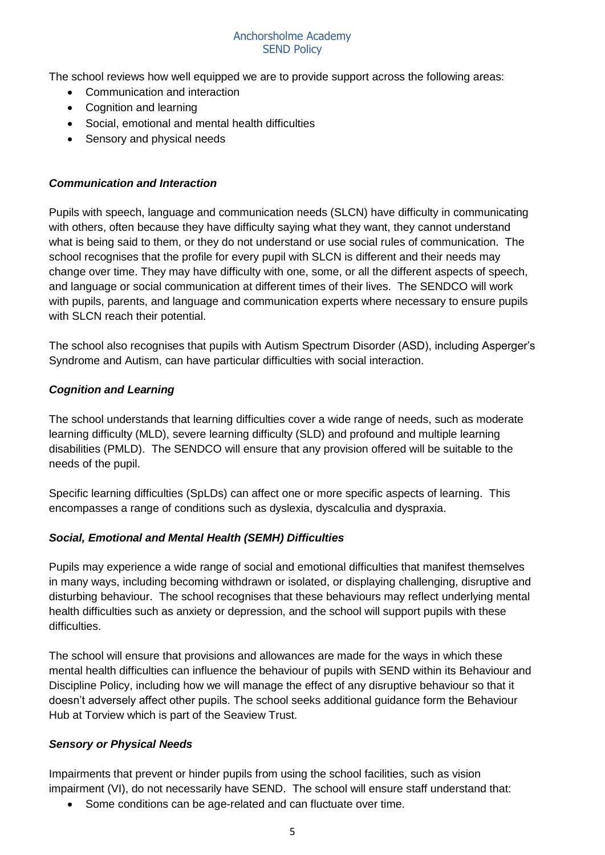The school reviews how well equipped we are to provide support across the following areas:

- Communication and interaction
- Cognition and learning
- Social, emotional and mental health difficulties
- Sensory and physical needs

#### *Communication and Interaction*

Pupils with speech, language and communication needs (SLCN) have difficulty in communicating with others, often because they have difficulty saying what they want, they cannot understand what is being said to them, or they do not understand or use social rules of communication. The school recognises that the profile for every pupil with SLCN is different and their needs may change over time. They may have difficulty with one, some, or all the different aspects of speech, and language or social communication at different times of their lives. The SENDCO will work with pupils, parents, and language and communication experts where necessary to ensure pupils with SLCN reach their potential.

The school also recognises that pupils with Autism Spectrum Disorder (ASD), including Asperger's Syndrome and Autism, can have particular difficulties with social interaction.

#### *Cognition and Learning*

The school understands that learning difficulties cover a wide range of needs, such as moderate learning difficulty (MLD), severe learning difficulty (SLD) and profound and multiple learning disabilities (PMLD). The SENDCO will ensure that any provision offered will be suitable to the needs of the pupil.

Specific learning difficulties (SpLDs) can affect one or more specific aspects of learning. This encompasses a range of conditions such as dyslexia, dyscalculia and dyspraxia.

#### *Social, Emotional and Mental Health (SEMH) Difficulties*

Pupils may experience a wide range of social and emotional difficulties that manifest themselves in many ways, including becoming withdrawn or isolated, or displaying challenging, disruptive and disturbing behaviour. The school recognises that these behaviours may reflect underlying mental health difficulties such as anxiety or depression, and the school will support pupils with these difficulties.

The school will ensure that provisions and allowances are made for the ways in which these mental health difficulties can influence the behaviour of pupils with SEND within its Behaviour and Discipline Policy, including how we will manage the effect of any disruptive behaviour so that it doesn't adversely affect other pupils. The school seeks additional guidance form the Behaviour Hub at Torview which is part of the Seaview Trust.

#### *Sensory or Physical Needs*

Impairments that prevent or hinder pupils from using the school facilities, such as vision impairment (VI), do not necessarily have SEND. The school will ensure staff understand that:

• Some conditions can be age-related and can fluctuate over time.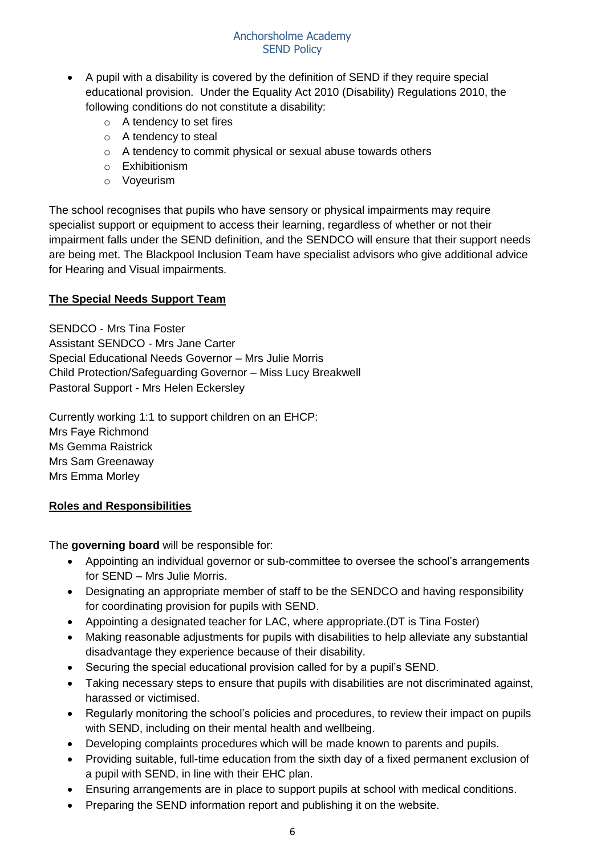- A pupil with a disability is covered by the definition of SEND if they require special educational provision. Under the Equality Act 2010 (Disability) Regulations 2010, the following conditions do not constitute a disability:
	- o A tendency to set fires
	- o A tendency to steal
	- o A tendency to commit physical or sexual abuse towards others
	- o Exhibitionism
	- o Voyeurism

The school recognises that pupils who have sensory or physical impairments may require specialist support or equipment to access their learning, regardless of whether or not their impairment falls under the SEND definition, and the SENDCO will ensure that their support needs are being met. The Blackpool Inclusion Team have specialist advisors who give additional advice for Hearing and Visual impairments.

## **The Special Needs Support Team**

SENDCO - Mrs Tina Foster Assistant SENDCO - Mrs Jane Carter Special Educational Needs Governor – Mrs Julie Morris Child Protection/Safeguarding Governor – Miss Lucy Breakwell Pastoral Support - Mrs Helen Eckersley

Currently working 1:1 to support children on an EHCP: Mrs Faye Richmond Ms Gemma Raistrick Mrs Sam Greenaway Mrs Emma Morley

## **Roles and Responsibilities**

The **governing board** will be responsible for:

- Appointing an individual governor or sub-committee to oversee the school's arrangements for SEND – Mrs Julie Morris.
- Designating an appropriate member of staff to be the SENDCO and having responsibility for coordinating provision for pupils with SEND.
- Appointing a designated teacher for LAC, where appropriate.(DT is Tina Foster)
- Making reasonable adjustments for pupils with disabilities to help alleviate any substantial disadvantage they experience because of their disability.
- Securing the special educational provision called for by a pupil's SEND.
- Taking necessary steps to ensure that pupils with disabilities are not discriminated against, harassed or victimised.
- Regularly monitoring the school's policies and procedures, to review their impact on pupils with SEND, including on their mental health and wellbeing.
- Developing complaints procedures which will be made known to parents and pupils.
- Providing suitable, full-time education from the sixth day of a fixed permanent exclusion of a pupil with SEND, in line with their EHC plan.
- Ensuring arrangements are in place to support pupils at school with medical conditions.
- Preparing the SEND information report and publishing it on the website.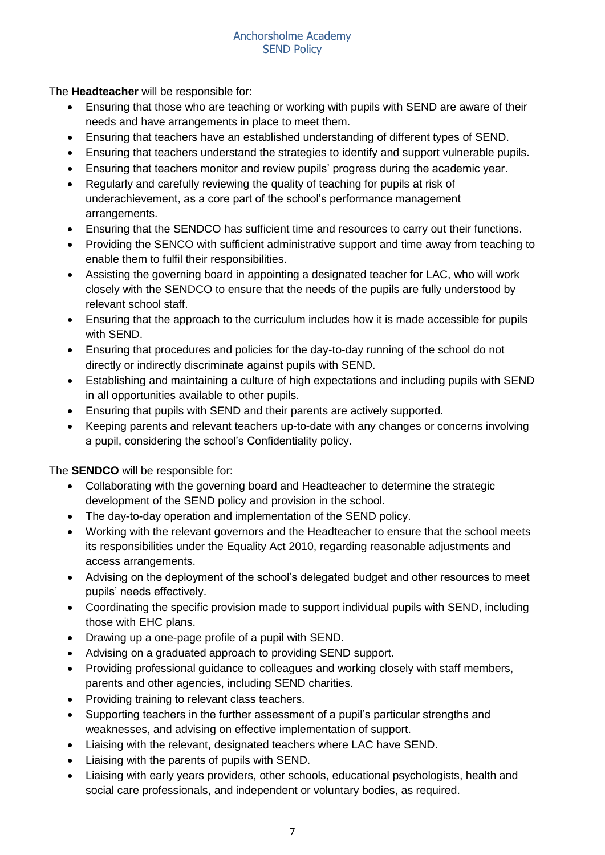The **Headteacher** will be responsible for:

- Ensuring that those who are teaching or working with pupils with SEND are aware of their needs and have arrangements in place to meet them.
- Ensuring that teachers have an established understanding of different types of SEND.
- Ensuring that teachers understand the strategies to identify and support vulnerable pupils.
- Ensuring that teachers monitor and review pupils' progress during the academic year.
- Regularly and carefully reviewing the quality of teaching for pupils at risk of underachievement, as a core part of the school's performance management arrangements.
- Ensuring that the SENDCO has sufficient time and resources to carry out their functions.
- Providing the SENCO with sufficient administrative support and time away from teaching to enable them to fulfil their responsibilities.
- Assisting the governing board in appointing a designated teacher for LAC, who will work closely with the SENDCO to ensure that the needs of the pupils are fully understood by relevant school staff.
- Ensuring that the approach to the curriculum includes how it is made accessible for pupils with SEND.
- Ensuring that procedures and policies for the day-to-day running of the school do not directly or indirectly discriminate against pupils with SEND.
- Establishing and maintaining a culture of high expectations and including pupils with SEND in all opportunities available to other pupils.
- Ensuring that pupils with SEND and their parents are actively supported.
- Keeping parents and relevant teachers up-to-date with any changes or concerns involving a pupil, considering the school's Confidentiality policy.

The **SENDCO** will be responsible for:

- Collaborating with the governing board and Headteacher to determine the strategic development of the SEND policy and provision in the school.
- The day-to-day operation and implementation of the SEND policy.
- Working with the relevant governors and the Headteacher to ensure that the school meets its responsibilities under the Equality Act 2010, regarding reasonable adjustments and access arrangements.
- Advising on the deployment of the school's delegated budget and other resources to meet pupils' needs effectively.
- Coordinating the specific provision made to support individual pupils with SEND, including those with EHC plans.
- Drawing up a one-page profile of a pupil with SEND.
- Advising on a graduated approach to providing SEND support.
- Providing professional guidance to colleagues and working closely with staff members, parents and other agencies, including SEND charities.
- Providing training to relevant class teachers.
- Supporting teachers in the further assessment of a pupil's particular strengths and weaknesses, and advising on effective implementation of support.
- Liaising with the relevant, designated teachers where LAC have SEND.
- Liaising with the parents of pupils with SEND.
- Liaising with early years providers, other schools, educational psychologists, health and social care professionals, and independent or voluntary bodies, as required.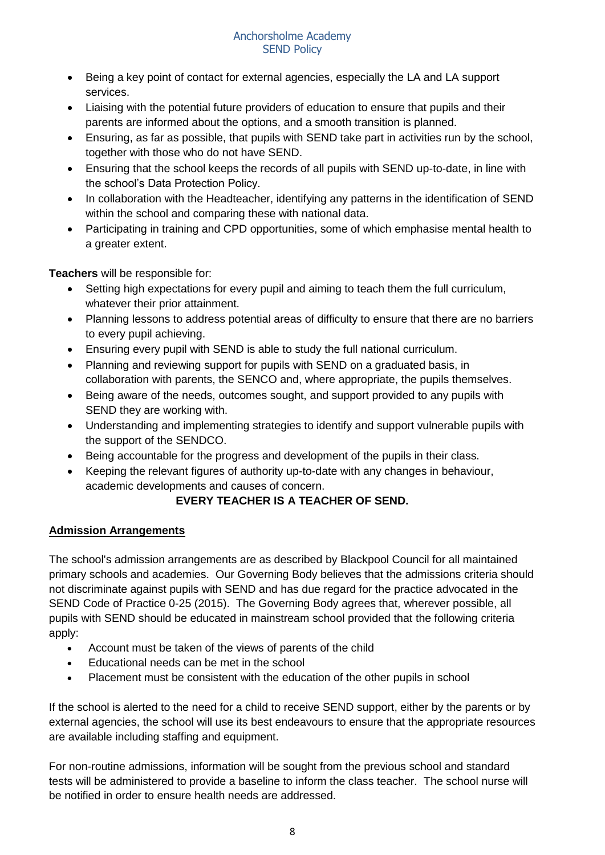- Being a key point of contact for external agencies, especially the LA and LA support services.
- Liaising with the potential future providers of education to ensure that pupils and their parents are informed about the options, and a smooth transition is planned.
- Ensuring, as far as possible, that pupils with SEND take part in activities run by the school, together with those who do not have SEND.
- Ensuring that the school keeps the records of all pupils with SEND up-to-date, in line with the school's Data Protection Policy.
- In collaboration with the Headteacher, identifying any patterns in the identification of SEND within the school and comparing these with national data.
- Participating in training and CPD opportunities, some of which emphasise mental health to a greater extent.

**Teachers** will be responsible for:

- Setting high expectations for every pupil and aiming to teach them the full curriculum, whatever their prior attainment.
- Planning lessons to address potential areas of difficulty to ensure that there are no barriers to every pupil achieving.
- Ensuring every pupil with SEND is able to study the full national curriculum.
- Planning and reviewing support for pupils with SEND on a graduated basis, in collaboration with parents, the SENCO and, where appropriate, the pupils themselves.
- Being aware of the needs, outcomes sought, and support provided to any pupils with SEND they are working with.
- Understanding and implementing strategies to identify and support vulnerable pupils with the support of the SENDCO.
- Being accountable for the progress and development of the pupils in their class.
- Keeping the relevant figures of authority up-to-date with any changes in behaviour, academic developments and causes of concern.

# **EVERY TEACHER IS A TEACHER OF SEND.**

# **Admission Arrangements**

The school's admission arrangements are as described by Blackpool Council for all maintained primary schools and academies. Our Governing Body believes that the admissions criteria should not discriminate against pupils with SEND and has due regard for the practice advocated in the SEND Code of Practice 0-25 (2015). The Governing Body agrees that, wherever possible, all pupils with SEND should be educated in mainstream school provided that the following criteria apply:

- Account must be taken of the views of parents of the child
- Educational needs can be met in the school
- Placement must be consistent with the education of the other pupils in school

If the school is alerted to the need for a child to receive SEND support, either by the parents or by external agencies, the school will use its best endeavours to ensure that the appropriate resources are available including staffing and equipment.

For non-routine admissions, information will be sought from the previous school and standard tests will be administered to provide a baseline to inform the class teacher. The school nurse will be notified in order to ensure health needs are addressed.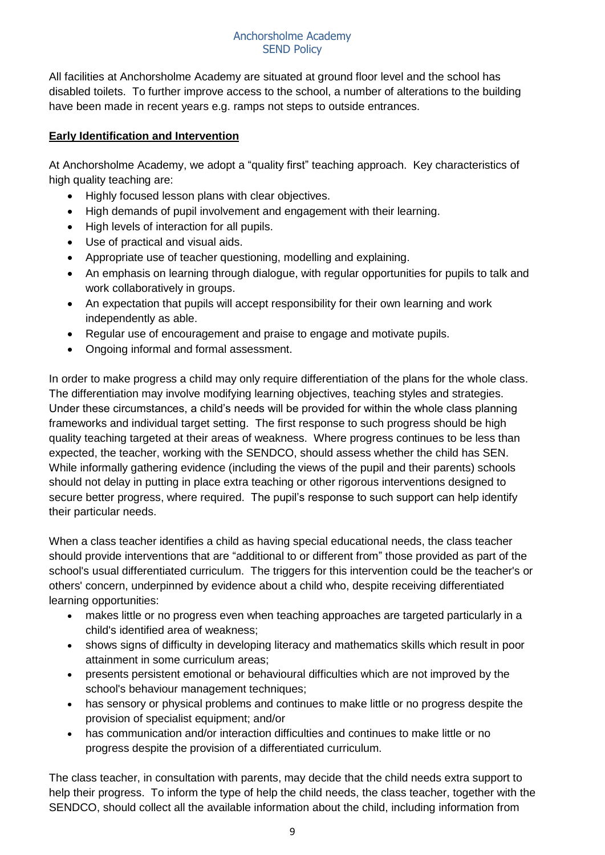All facilities at Anchorsholme Academy are situated at ground floor level and the school has disabled toilets. To further improve access to the school, a number of alterations to the building have been made in recent years e.g. ramps not steps to outside entrances.

## **Early Identification and Intervention**

At Anchorsholme Academy, we adopt a "quality first" teaching approach. Key characteristics of high quality teaching are:

- Highly focused lesson plans with clear objectives.
- High demands of pupil involvement and engagement with their learning.
- High levels of interaction for all pupils.
- Use of practical and visual aids.
- Appropriate use of teacher questioning, modelling and explaining.
- An emphasis on learning through dialogue, with regular opportunities for pupils to talk and work collaboratively in groups.
- An expectation that pupils will accept responsibility for their own learning and work independently as able.
- Regular use of encouragement and praise to engage and motivate pupils.
- Ongoing informal and formal assessment.

In order to make progress a child may only require differentiation of the plans for the whole class. The differentiation may involve modifying learning objectives, teaching styles and strategies. Under these circumstances, a child's needs will be provided for within the whole class planning frameworks and individual target setting. The first response to such progress should be high quality teaching targeted at their areas of weakness. Where progress continues to be less than expected, the teacher, working with the SENDCO, should assess whether the child has SEN. While informally gathering evidence (including the views of the pupil and their parents) schools should not delay in putting in place extra teaching or other rigorous interventions designed to secure better progress, where required. The pupil's response to such support can help identify their particular needs.

When a class teacher identifies a child as having special educational needs, the class teacher should provide interventions that are "additional to or different from" those provided as part of the school's usual differentiated curriculum. The triggers for this intervention could be the teacher's or others' concern, underpinned by evidence about a child who, despite receiving differentiated learning opportunities:

- makes little or no progress even when teaching approaches are targeted particularly in a child's identified area of weakness;
- shows signs of difficulty in developing literacy and mathematics skills which result in poor attainment in some curriculum areas;
- presents persistent emotional or behavioural difficulties which are not improved by the school's behaviour management techniques;
- has sensory or physical problems and continues to make little or no progress despite the provision of specialist equipment; and/or
- has communication and/or interaction difficulties and continues to make little or no progress despite the provision of a differentiated curriculum.

The class teacher, in consultation with parents, may decide that the child needs extra support to help their progress. To inform the type of help the child needs, the class teacher, together with the SENDCO, should collect all the available information about the child, including information from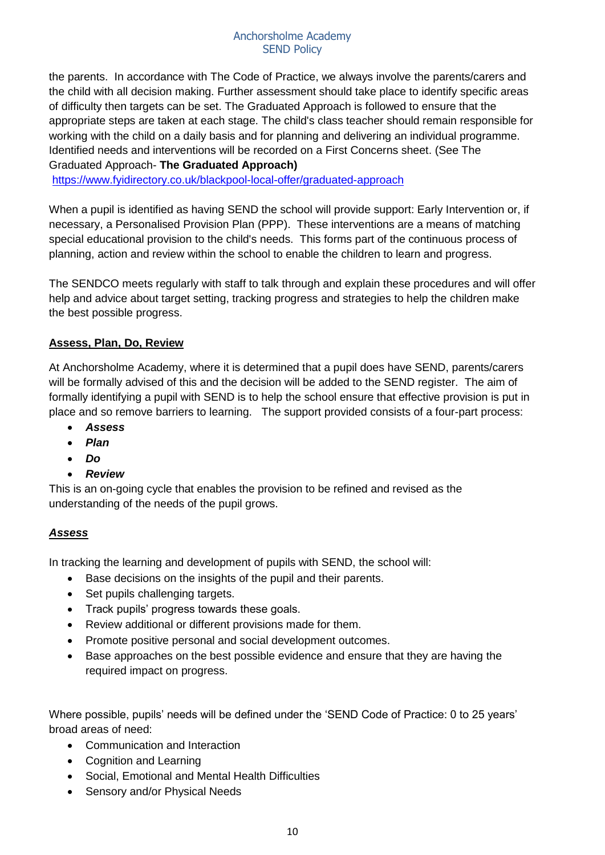the parents. In accordance with The Code of Practice, we always involve the parents/carers and the child with all decision making. Further assessment should take place to identify specific areas of difficulty then targets can be set. The Graduated Approach is followed to ensure that the appropriate steps are taken at each stage. The child's class teacher should remain responsible for working with the child on a daily basis and for planning and delivering an individual programme. Identified needs and interventions will be recorded on a First Concerns sheet. (See The Graduated Approach- **The Graduated Approach)**

<https://www.fyidirectory.co.uk/blackpool-local-offer/graduated-approach>

When a pupil is identified as having SEND the school will provide support: Early Intervention or, if necessary, a Personalised Provision Plan (PPP). These interventions are a means of matching special educational provision to the child's needs. This forms part of the continuous process of planning, action and review within the school to enable the children to learn and progress.

The SENDCO meets regularly with staff to talk through and explain these procedures and will offer help and advice about target setting, tracking progress and strategies to help the children make the best possible progress.

## **Assess, Plan, Do, Review**

At Anchorsholme Academy, where it is determined that a pupil does have SEND, parents/carers will be formally advised of this and the decision will be added to the SEND register. The aim of formally identifying a pupil with SEND is to help the school ensure that effective provision is put in place and so remove barriers to learning. The support provided consists of a four-part process:

- *Assess*
- *Plan*
- *Do*
- *Review*

This is an on-going cycle that enables the provision to be refined and revised as the understanding of the needs of the pupil grows.

# *Assess*

In tracking the learning and development of pupils with SEND, the school will:

- Base decisions on the insights of the pupil and their parents.
- Set pupils challenging targets.
- Track pupils' progress towards these goals.
- Review additional or different provisions made for them.
- Promote positive personal and social development outcomes.
- Base approaches on the best possible evidence and ensure that they are having the required impact on progress.

Where possible, pupils' needs will be defined under the 'SEND Code of Practice: 0 to 25 years' broad areas of need:

- Communication and Interaction
- Cognition and Learning
- Social, Emotional and Mental Health Difficulties
- Sensory and/or Physical Needs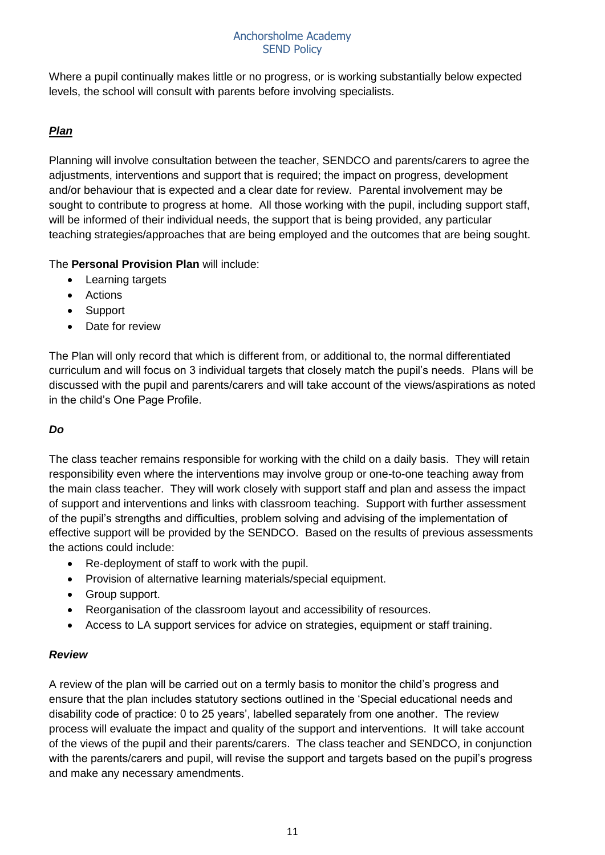Where a pupil continually makes little or no progress, or is working substantially below expected levels, the school will consult with parents before involving specialists.

# *Plan*

Planning will involve consultation between the teacher, SENDCO and parents/carers to agree the adjustments, interventions and support that is required; the impact on progress, development and/or behaviour that is expected and a clear date for review. Parental involvement may be sought to contribute to progress at home. All those working with the pupil, including support staff, will be informed of their individual needs, the support that is being provided, any particular teaching strategies/approaches that are being employed and the outcomes that are being sought.

The **Personal Provision Plan** will include:

- Learning targets
- Actions
- Support
- Date for review

The Plan will only record that which is different from, or additional to, the normal differentiated curriculum and will focus on 3 individual targets that closely match the pupil's needs. Plans will be discussed with the pupil and parents/carers and will take account of the views/aspirations as noted in the child's One Page Profile.

# *Do*

The class teacher remains responsible for working with the child on a daily basis. They will retain responsibility even where the interventions may involve group or one-to-one teaching away from the main class teacher. They will work closely with support staff and plan and assess the impact of support and interventions and links with classroom teaching. Support with further assessment of the pupil's strengths and difficulties, problem solving and advising of the implementation of effective support will be provided by the SENDCO. Based on the results of previous assessments the actions could include:

- Re-deployment of staff to work with the pupil.
- Provision of alternative learning materials/special equipment.
- Group support.
- Reorganisation of the classroom layout and accessibility of resources.
- Access to LA support services for advice on strategies, equipment or staff training.

## *Review*

A review of the plan will be carried out on a termly basis to monitor the child's progress and ensure that the plan includes statutory sections outlined in the 'Special educational needs and disability code of practice: 0 to 25 years', labelled separately from one another. The review process will evaluate the impact and quality of the support and interventions. It will take account of the views of the pupil and their parents/carers. The class teacher and SENDCO, in conjunction with the parents/carers and pupil, will revise the support and targets based on the pupil's progress and make any necessary amendments.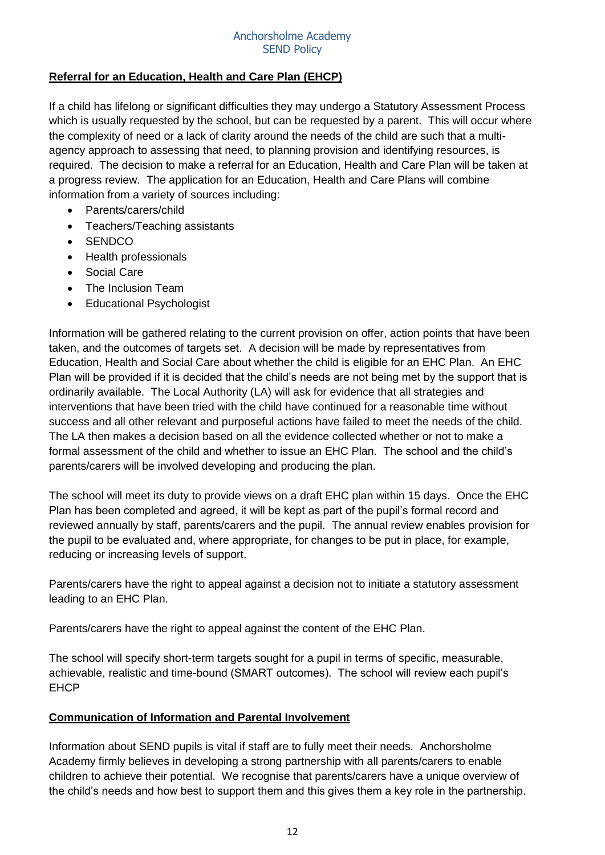## **Referral for an Education, Health and Care Plan (EHCP)**

If a child has lifelong or significant difficulties they may undergo a Statutory Assessment Process which is usually requested by the school, but can be requested by a parent. This will occur where the complexity of need or a lack of clarity around the needs of the child are such that a multiagency approach to assessing that need, to planning provision and identifying resources, is required. The decision to make a referral for an Education, Health and Care Plan will be taken at a progress review. The application for an Education, Health and Care Plans will combine information from a variety of sources including:

- Parents/carers/child
- Teachers/Teaching assistants
- SENDCO
- Health professionals
- Social Care
- The Inclusion Team
- Educational Psychologist

Information will be gathered relating to the current provision on offer, action points that have been taken, and the outcomes of targets set. A decision will be made by representatives from Education, Health and Social Care about whether the child is eligible for an EHC Plan. An EHC Plan will be provided if it is decided that the child's needs are not being met by the support that is ordinarily available. The Local Authority (LA) will ask for evidence that all strategies and interventions that have been tried with the child have continued for a reasonable time without success and all other relevant and purposeful actions have failed to meet the needs of the child. The LA then makes a decision based on all the evidence collected whether or not to make a formal assessment of the child and whether to issue an EHC Plan. The school and the child's parents/carers will be involved developing and producing the plan.

The school will meet its duty to provide views on a draft EHC plan within 15 days. Once the EHC Plan has been completed and agreed, it will be kept as part of the pupil's formal record and reviewed annually by staff, parents/carers and the pupil. The annual review enables provision for the pupil to be evaluated and, where appropriate, for changes to be put in place, for example, reducing or increasing levels of support.

Parents/carers have the right to appeal against a decision not to initiate a statutory assessment leading to an EHC Plan.

Parents/carers have the right to appeal against the content of the EHC Plan.

The school will specify short-term targets sought for a pupil in terms of specific, measurable, achievable, realistic and time-bound (SMART outcomes). The school will review each pupil's EHCP

## **Communication of Information and Parental Involvement**

Information about SEND pupils is vital if staff are to fully meet their needs. Anchorsholme Academy firmly believes in developing a strong partnership with all parents/carers to enable children to achieve their potential. We recognise that parents/carers have a unique overview of the child's needs and how best to support them and this gives them a key role in the partnership.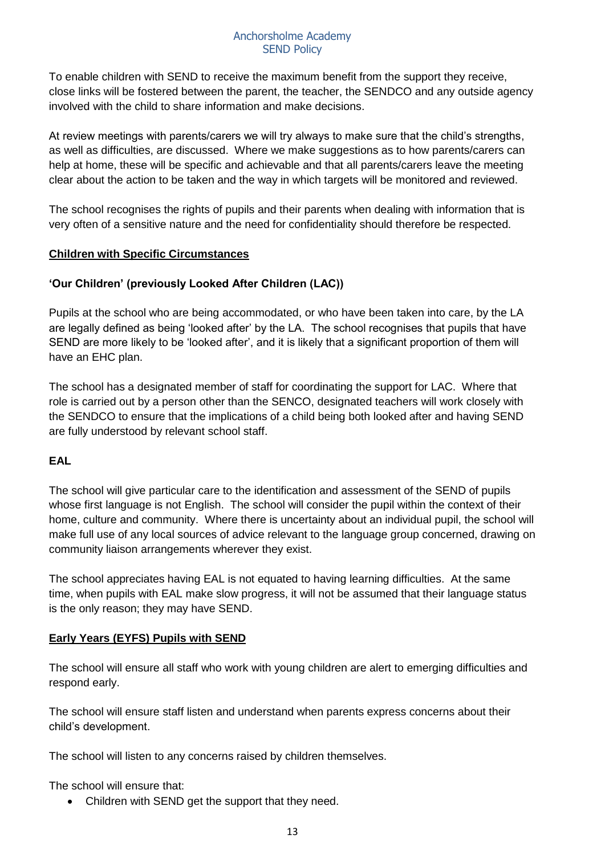To enable children with SEND to receive the maximum benefit from the support they receive, close links will be fostered between the parent, the teacher, the SENDCO and any outside agency involved with the child to share information and make decisions.

At review meetings with parents/carers we will try always to make sure that the child's strengths, as well as difficulties, are discussed. Where we make suggestions as to how parents/carers can help at home, these will be specific and achievable and that all parents/carers leave the meeting clear about the action to be taken and the way in which targets will be monitored and reviewed.

The school recognises the rights of pupils and their parents when dealing with information that is very often of a sensitive nature and the need for confidentiality should therefore be respected.

## **Children with Specific Circumstances**

# **'Our Children' (previously Looked After Children (LAC))**

Pupils at the school who are being accommodated, or who have been taken into care, by the LA are legally defined as being 'looked after' by the LA. The school recognises that pupils that have SEND are more likely to be 'looked after', and it is likely that a significant proportion of them will have an EHC plan.

The school has a designated member of staff for coordinating the support for LAC. Where that role is carried out by a person other than the SENCO, designated teachers will work closely with the SENDCO to ensure that the implications of a child being both looked after and having SEND are fully understood by relevant school staff.

# **EAL**

The school will give particular care to the identification and assessment of the SEND of pupils whose first language is not English. The school will consider the pupil within the context of their home, culture and community. Where there is uncertainty about an individual pupil, the school will make full use of any local sources of advice relevant to the language group concerned, drawing on community liaison arrangements wherever they exist.

The school appreciates having EAL is not equated to having learning difficulties. At the same time, when pupils with EAL make slow progress, it will not be assumed that their language status is the only reason; they may have SEND.

# **Early Years (EYFS) Pupils with SEND**

The school will ensure all staff who work with young children are alert to emerging difficulties and respond early.

The school will ensure staff listen and understand when parents express concerns about their child's development.

The school will listen to any concerns raised by children themselves.

The school will ensure that:

• Children with SEND get the support that they need.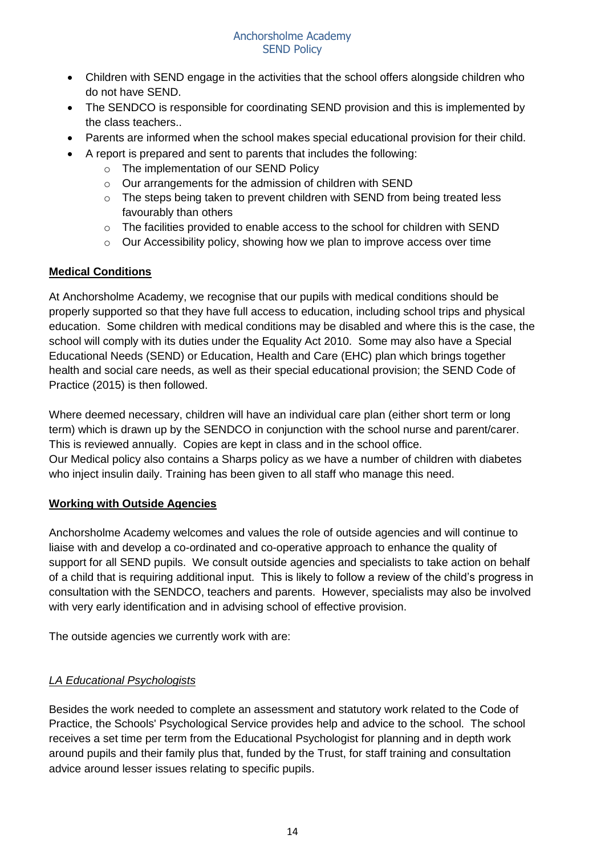- Children with SEND engage in the activities that the school offers alongside children who do not have SEND.
- The SENDCO is responsible for coordinating SEND provision and this is implemented by the class teachers..
- Parents are informed when the school makes special educational provision for their child.
- A report is prepared and sent to parents that includes the following:
	- o The implementation of our SEND Policy
	- o Our arrangements for the admission of children with SEND
	- o The steps being taken to prevent children with SEND from being treated less favourably than others
	- o The facilities provided to enable access to the school for children with SEND
	- $\circ$  Our Accessibility policy, showing how we plan to improve access over time

## **Medical Conditions**

At Anchorsholme Academy, we recognise that our pupils with medical conditions should be properly supported so that they have full access to education, including school trips and physical education. Some children with medical conditions may be disabled and where this is the case, the school will comply with its duties under the Equality Act 2010. Some may also have a Special Educational Needs (SEND) or Education, Health and Care (EHC) plan which brings together health and social care needs, as well as their special educational provision; the SEND Code of Practice (2015) is then followed.

Where deemed necessary, children will have an individual care plan (either short term or long term) which is drawn up by the SENDCO in conjunction with the school nurse and parent/carer. This is reviewed annually. Copies are kept in class and in the school office. Our Medical policy also contains a Sharps policy as we have a number of children with diabetes who inject insulin daily. Training has been given to all staff who manage this need.

## **Working with Outside Agencies**

Anchorsholme Academy welcomes and values the role of outside agencies and will continue to liaise with and develop a co-ordinated and co-operative approach to enhance the quality of support for all SEND pupils. We consult outside agencies and specialists to take action on behalf of a child that is requiring additional input. This is likely to follow a review of the child's progress in consultation with the SENDCO, teachers and parents. However, specialists may also be involved with very early identification and in advising school of effective provision.

The outside agencies we currently work with are:

# *LA Educational Psychologists*

Besides the work needed to complete an assessment and statutory work related to the Code of Practice, the Schools' Psychological Service provides help and advice to the school. The school receives a set time per term from the Educational Psychologist for planning and in depth work around pupils and their family plus that, funded by the Trust, for staff training and consultation advice around lesser issues relating to specific pupils.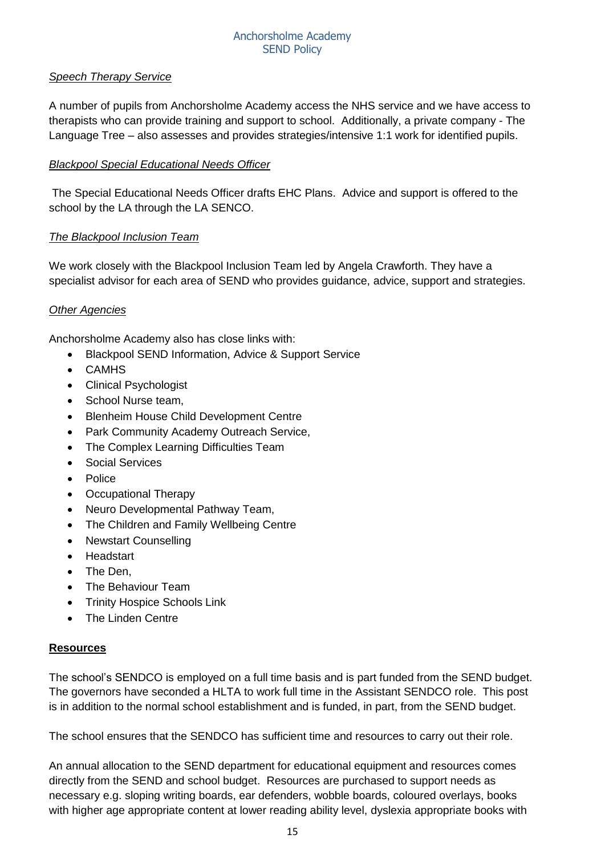#### *Speech Therapy Service*

A number of pupils from Anchorsholme Academy access the NHS service and we have access to therapists who can provide training and support to school. Additionally, a private company - The Language Tree – also assesses and provides strategies/intensive 1:1 work for identified pupils.

#### *Blackpool Special Educational Needs Officer*

The Special Educational Needs Officer drafts EHC Plans. Advice and support is offered to the school by the LA through the LA SENCO.

#### *The Blackpool Inclusion Team*

We work closely with the Blackpool Inclusion Team led by Angela Crawforth. They have a specialist advisor for each area of SEND who provides guidance, advice, support and strategies.

#### *Other Agencies*

Anchorsholme Academy also has close links with:

- Blackpool SEND Information, Advice & Support Service
- CAMHS
- Clinical Psychologist
- School Nurse team,
- Blenheim House Child Development Centre
- Park Community Academy Outreach Service,
- The Complex Learning Difficulties Team
- Social Services
- Police
- Occupational Therapy
- Neuro Developmental Pathway Team,
- The Children and Family Wellbeing Centre
- Newstart Counselling
- Headstart
- The Den,
- The Behaviour Team
- Trinity Hospice Schools Link
- The Linden Centre

#### **Resources**

The school's SENDCO is employed on a full time basis and is part funded from the SEND budget. The governors have seconded a HLTA to work full time in the Assistant SENDCO role. This post is in addition to the normal school establishment and is funded, in part, from the SEND budget.

The school ensures that the SENDCO has sufficient time and resources to carry out their role.

An annual allocation to the SEND department for educational equipment and resources comes directly from the SEND and school budget. Resources are purchased to support needs as necessary e.g. sloping writing boards, ear defenders, wobble boards, coloured overlays, books with higher age appropriate content at lower reading ability level, dyslexia appropriate books with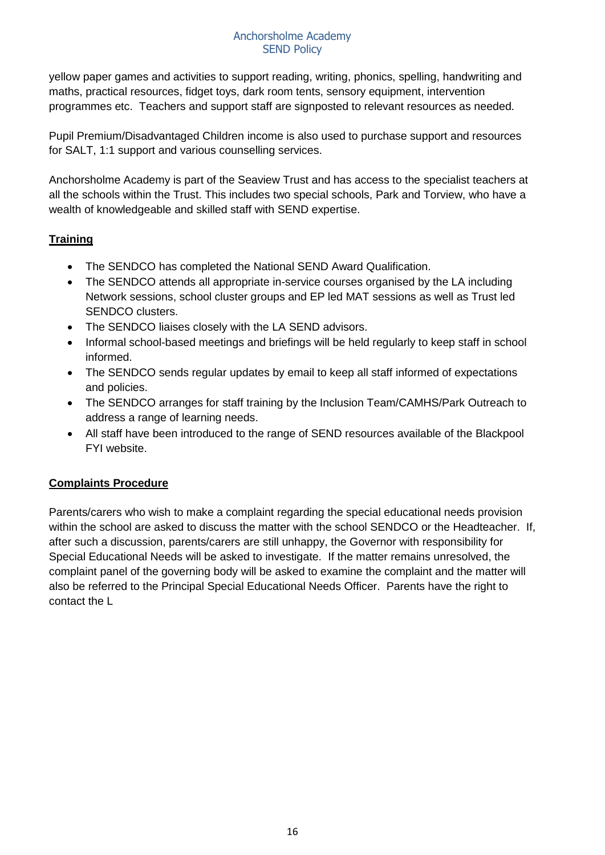yellow paper games and activities to support reading, writing, phonics, spelling, handwriting and maths, practical resources, fidget toys, dark room tents, sensory equipment, intervention programmes etc. Teachers and support staff are signposted to relevant resources as needed.

Pupil Premium/Disadvantaged Children income is also used to purchase support and resources for SALT, 1:1 support and various counselling services.

Anchorsholme Academy is part of the Seaview Trust and has access to the specialist teachers at all the schools within the Trust. This includes two special schools, Park and Torview, who have a wealth of knowledgeable and skilled staff with SEND expertise.

# **Training**

- The SENDCO has completed the National SEND Award Qualification.
- The SENDCO attends all appropriate in-service courses organised by the LA including Network sessions, school cluster groups and EP led MAT sessions as well as Trust led SENDCO clusters.
- The SENDCO liaises closely with the LA SEND advisors.
- Informal school-based meetings and briefings will be held regularly to keep staff in school informed.
- The SENDCO sends regular updates by email to keep all staff informed of expectations and policies.
- The SENDCO arranges for staff training by the Inclusion Team/CAMHS/Park Outreach to address a range of learning needs.
- All staff have been introduced to the range of SEND resources available of the Blackpool FYI website.

# **Complaints Procedure**

Parents/carers who wish to make a complaint regarding the special educational needs provision within the school are asked to discuss the matter with the school SENDCO or the Headteacher. If, after such a discussion, parents/carers are still unhappy, the Governor with responsibility for Special Educational Needs will be asked to investigate. If the matter remains unresolved, the complaint panel of the governing body will be asked to examine the complaint and the matter will also be referred to the Principal Special Educational Needs Officer. Parents have the right to contact the L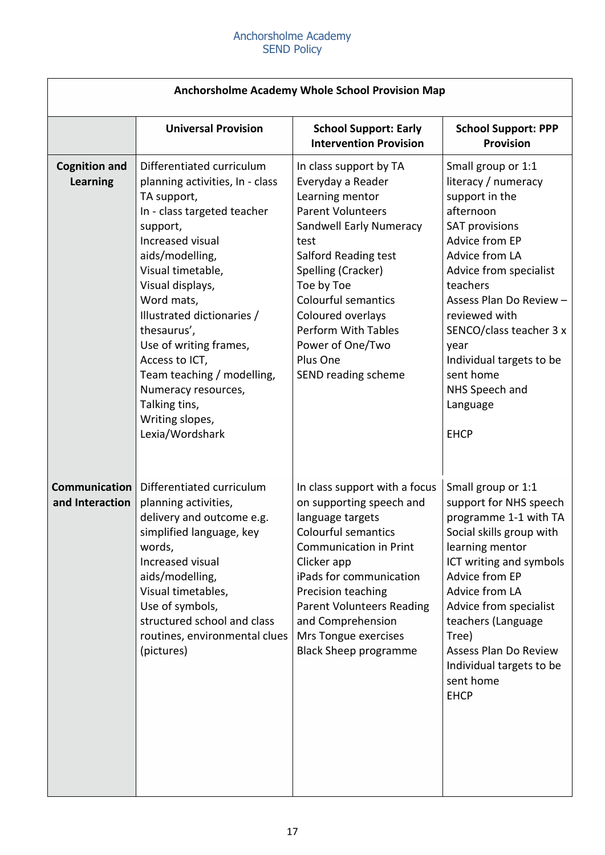| Anchorsholme Academy Whole School Provision Map |                                                                                                                                                                                                                                                                                                                                                                                                                           |                                                                                                                                                                                                                                                                                                                                   |                                                                                                                                                                                                                                                                                                                                                         |  |  |  |
|-------------------------------------------------|---------------------------------------------------------------------------------------------------------------------------------------------------------------------------------------------------------------------------------------------------------------------------------------------------------------------------------------------------------------------------------------------------------------------------|-----------------------------------------------------------------------------------------------------------------------------------------------------------------------------------------------------------------------------------------------------------------------------------------------------------------------------------|---------------------------------------------------------------------------------------------------------------------------------------------------------------------------------------------------------------------------------------------------------------------------------------------------------------------------------------------------------|--|--|--|
|                                                 | <b>Universal Provision</b>                                                                                                                                                                                                                                                                                                                                                                                                | <b>School Support: Early</b><br><b>Intervention Provision</b>                                                                                                                                                                                                                                                                     | <b>School Support: PPP</b><br><b>Provision</b>                                                                                                                                                                                                                                                                                                          |  |  |  |
| <b>Cognition and</b><br><b>Learning</b>         | Differentiated curriculum<br>planning activities, In - class<br>TA support,<br>In - class targeted teacher<br>support,<br>Increased visual<br>aids/modelling,<br>Visual timetable,<br>Visual displays,<br>Word mats,<br>Illustrated dictionaries /<br>thesaurus',<br>Use of writing frames,<br>Access to ICT,<br>Team teaching / modelling,<br>Numeracy resources,<br>Talking tins,<br>Writing slopes,<br>Lexia/Wordshark | In class support by TA<br>Everyday a Reader<br>Learning mentor<br><b>Parent Volunteers</b><br>Sandwell Early Numeracy<br>test<br>Salford Reading test<br>Spelling (Cracker)<br>Toe by Toe<br><b>Colourful semantics</b><br>Coloured overlays<br><b>Perform With Tables</b><br>Power of One/Two<br>Plus One<br>SEND reading scheme | Small group or 1:1<br>literacy / numeracy<br>support in the<br>afternoon<br><b>SAT provisions</b><br><b>Advice from EP</b><br>Advice from LA<br>Advice from specialist<br>teachers<br>Assess Plan Do Review -<br>reviewed with<br>SENCO/class teacher 3 x<br>year<br>Individual targets to be<br>sent home<br>NHS Speech and<br>Language<br><b>EHCP</b> |  |  |  |
| Communication<br>and Interaction                | Differentiated curriculum<br>planning activities,<br>delivery and outcome e.g.<br>simplified language, key<br>words,<br>Increased visual<br>aids/modelling,<br>Visual timetables,<br>Use of symbols,<br>structured school and class<br>routines, environmental clues<br>(pictures)                                                                                                                                        | In class support with a focus<br>on supporting speech and<br>language targets<br><b>Colourful semantics</b><br><b>Communication in Print</b><br>Clicker app<br>iPads for communication<br>Precision teaching<br><b>Parent Volunteers Reading</b><br>and Comprehension<br>Mrs Tongue exercises<br><b>Black Sheep programme</b>     | Small group or 1:1<br>support for NHS speech<br>programme 1-1 with TA<br>Social skills group with<br>learning mentor<br>ICT writing and symbols<br>Advice from EP<br>Advice from LA<br>Advice from specialist<br>teachers (Language<br>Tree)<br>Assess Plan Do Review<br>Individual targets to be<br>sent home<br><b>EHCP</b>                           |  |  |  |